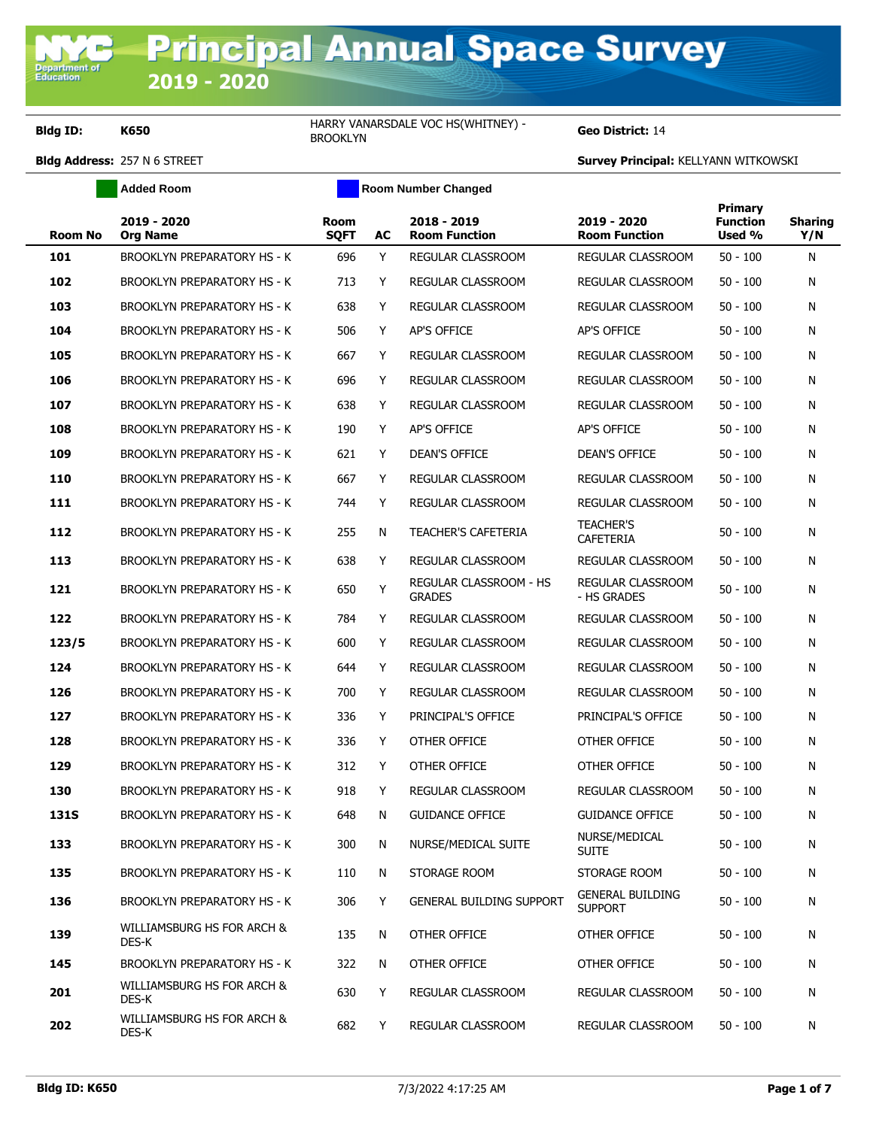**Bldg ID: K650** HARRY VANARSDALE VOC HS(WHITNEY) -

**Added Room Room Room Number Changed** 

Geo District: 14

| <b>Room No</b> | 2019 - 2020<br><b>Org Name</b>      | <b>Room</b><br><b>SQFT</b> | AC | 2018 - 2019<br><b>Room Function</b>     | 2019 - 2020<br><b>Room Function</b>       | Primary<br><b>Function</b><br>Used % | <b>Sharing</b><br>Y/N |
|----------------|-------------------------------------|----------------------------|----|-----------------------------------------|-------------------------------------------|--------------------------------------|-----------------------|
| 101            | <b>BROOKLYN PREPARATORY HS - K</b>  | 696                        | Y  | REGULAR CLASSROOM                       | REGULAR CLASSROOM                         | $50 - 100$                           | N                     |
| 102            | BROOKLYN PREPARATORY HS - K         | 713                        | Y  | REGULAR CLASSROOM                       | <b>REGULAR CLASSROOM</b>                  | $50 - 100$                           | N                     |
| 103            | <b>BROOKLYN PREPARATORY HS - K</b>  | 638                        | Y  | REGULAR CLASSROOM                       | REGULAR CLASSROOM                         | $50 - 100$                           | N                     |
| 104            | <b>BROOKLYN PREPARATORY HS - K</b>  | 506                        | Y  | AP'S OFFICE                             | AP'S OFFICE                               | $50 - 100$                           | N                     |
| 105            | <b>BROOKLYN PREPARATORY HS - K</b>  | 667                        | Y  | REGULAR CLASSROOM                       | REGULAR CLASSROOM                         | $50 - 100$                           | N                     |
| 106            | <b>BROOKLYN PREPARATORY HS - K</b>  | 696                        | Y  | REGULAR CLASSROOM                       | REGULAR CLASSROOM                         | $50 - 100$                           | N                     |
| 107            | <b>BROOKLYN PREPARATORY HS - K</b>  | 638                        | Y  | REGULAR CLASSROOM                       | REGULAR CLASSROOM                         | $50 - 100$                           | N                     |
| 108            | <b>BROOKLYN PREPARATORY HS - K</b>  | 190                        | Y  | AP'S OFFICE                             | AP'S OFFICE                               | $50 - 100$                           | N                     |
| 109            | <b>BROOKLYN PREPARATORY HS - K</b>  | 621                        | Y  | DEAN'S OFFICE                           | <b>DEAN'S OFFICE</b>                      | $50 - 100$                           | N                     |
| 110            | <b>BROOKLYN PREPARATORY HS - K</b>  | 667                        | Y  | REGULAR CLASSROOM                       | <b>REGULAR CLASSROOM</b>                  | $50 - 100$                           | N                     |
| 111            | <b>BROOKLYN PREPARATORY HS - K</b>  | 744                        | Y  | REGULAR CLASSROOM                       | REGULAR CLASSROOM                         | $50 - 100$                           | N                     |
| 112            | <b>BROOKLYN PREPARATORY HS - K</b>  | 255                        | N  | <b>TEACHER'S CAFETERIA</b>              | <b>TEACHER'S</b><br>CAFETERIA             | $50 - 100$                           | N                     |
| 113            | <b>BROOKLYN PREPARATORY HS - K</b>  | 638                        | Y  | REGULAR CLASSROOM                       | REGULAR CLASSROOM                         | $50 - 100$                           | N                     |
| 121            | <b>BROOKLYN PREPARATORY HS - K</b>  | 650                        | Y  | REGULAR CLASSROOM - HS<br><b>GRADES</b> | REGULAR CLASSROOM<br>- HS GRADES          | $50 - 100$                           | N                     |
| 122            | <b>BROOKLYN PREPARATORY HS - K</b>  | 784                        | Y  | REGULAR CLASSROOM                       | REGULAR CLASSROOM                         | $50 - 100$                           | N                     |
| 123/5          | <b>BROOKLYN PREPARATORY HS - K</b>  | 600                        | Y  | REGULAR CLASSROOM                       | REGULAR CLASSROOM                         | $50 - 100$                           | N                     |
| 124            | BROOKLYN PREPARATORY HS - K         | 644                        | Y  | REGULAR CLASSROOM                       | REGULAR CLASSROOM                         | $50 - 100$                           | N                     |
| 126            | <b>BROOKLYN PREPARATORY HS - K</b>  | 700                        | Y  | REGULAR CLASSROOM                       | REGULAR CLASSROOM                         | $50 - 100$                           | N                     |
| 127            | <b>BROOKLYN PREPARATORY HS - K</b>  | 336                        | Y  | PRINCIPAL'S OFFICE                      | PRINCIPAL'S OFFICE                        | $50 - 100$                           | N                     |
| 128            | <b>BROOKLYN PREPARATORY HS - K</b>  | 336                        | Y  | OTHER OFFICE                            | OTHER OFFICE                              | $50 - 100$                           | N                     |
| 129            | <b>BROOKLYN PREPARATORY HS - K</b>  | 312                        | Y  | OTHER OFFICE                            | OTHER OFFICE                              | $50 - 100$                           | N                     |
| 130            | <b>BROOKLYN PREPARATORY HS - K</b>  | 918                        | Y  | REGULAR CLASSROOM                       | REGULAR CLASSROOM                         | $50 - 100$                           | N                     |
| <b>131S</b>    | <b>BROOKLYN PREPARATORY HS - K</b>  | 648                        | N  | <b>GUIDANCE OFFICE</b>                  | <b>GUIDANCE OFFICE</b>                    | $50 - 100$                           | N                     |
| 133            | <b>BROOKLYN PREPARATORY HS - K</b>  | 300                        | N  | NURSE/MEDICAL SUITE                     | NURSE/MEDICAL<br><b>SUITE</b>             | $50 - 100$                           | N                     |
| 135            | BROOKLYN PREPARATORY HS - K         | 110                        | N  | STORAGE ROOM                            | STORAGE ROOM                              | $50 - 100$                           | N                     |
| 136            | BROOKLYN PREPARATORY HS - K         | 306                        | Y  | <b>GENERAL BUILDING SUPPORT</b>         | <b>GENERAL BUILDING</b><br><b>SUPPORT</b> | $50 - 100$                           | N                     |
| 139            | WILLIAMSBURG HS FOR ARCH &<br>DES-K | 135                        | N  | OTHER OFFICE                            | OTHER OFFICE                              | $50 - 100$                           | N                     |
| 145            | <b>BROOKLYN PREPARATORY HS - K</b>  | 322                        | N  | OTHER OFFICE                            | OTHER OFFICE                              | $50 - 100$                           | N                     |
| 201            | WILLIAMSBURG HS FOR ARCH &<br>DES-K | 630                        | Y  | <b>REGULAR CLASSROOM</b>                | REGULAR CLASSROOM                         | $50 - 100$                           | N                     |
| 202            | WILLIAMSBURG HS FOR ARCH &<br>DES-K | 682                        | Y  | REGULAR CLASSROOM                       | REGULAR CLASSROOM                         | $50 - 100$                           | N                     |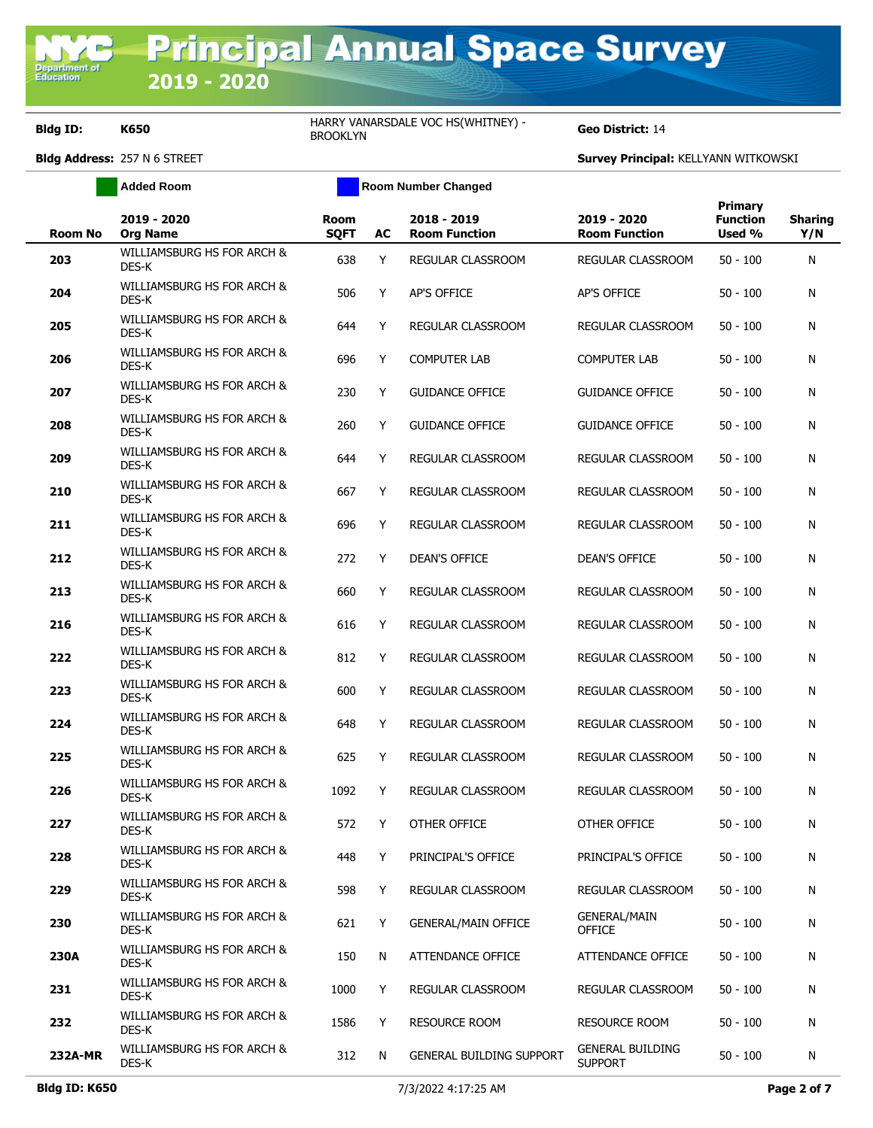**Department**<br>Education

**Bldg ID: K650** HARRY VANARSDALE VOC HS(WHITNEY) -

**Geo District: 14** 

|                | <b>Added Room</b>                   |                            |           | <b>Room Number Changed</b>          |                                           |                                             |                       |
|----------------|-------------------------------------|----------------------------|-----------|-------------------------------------|-------------------------------------------|---------------------------------------------|-----------------------|
| <b>Room No</b> | 2019 - 2020<br><b>Org Name</b>      | <b>Room</b><br><b>SQFT</b> | <b>AC</b> | 2018 - 2019<br><b>Room Function</b> | 2019 - 2020<br><b>Room Function</b>       | <b>Primary</b><br><b>Function</b><br>Used % | <b>Sharing</b><br>Y/N |
| 203            | WILLIAMSBURG HS FOR ARCH &<br>DES-K | 638                        | Y         | REGULAR CLASSROOM                   | <b>REGULAR CLASSROOM</b>                  | $50 - 100$                                  | Ν                     |
| 204            | WILLIAMSBURG HS FOR ARCH &<br>DES-K | 506                        | Y         | <b>AP'S OFFICE</b>                  | <b>AP'S OFFICE</b>                        | $50 - 100$                                  | Ν                     |
| 205            | WILLIAMSBURG HS FOR ARCH &<br>DES-K | 644                        | Y         | REGULAR CLASSROOM                   | REGULAR CLASSROOM                         | $50 - 100$                                  | Ν                     |
| 206            | WILLIAMSBURG HS FOR ARCH &<br>DES-K | 696                        | Y         | <b>COMPUTER LAB</b>                 | <b>COMPUTER LAB</b>                       | $50 - 100$                                  | Ν                     |
| 207            | WILLIAMSBURG HS FOR ARCH &<br>DES-K | 230                        | Y         | <b>GUIDANCE OFFICE</b>              | <b>GUIDANCE OFFICE</b>                    | $50 - 100$                                  | Ν                     |
| 208            | WILLIAMSBURG HS FOR ARCH &<br>DES-K | 260                        | Υ         | <b>GUIDANCE OFFICE</b>              | <b>GUIDANCE OFFICE</b>                    | $50 - 100$                                  | Ν                     |
| 209            | WILLIAMSBURG HS FOR ARCH &<br>DES-K | 644                        | Y         | REGULAR CLASSROOM                   | REGULAR CLASSROOM                         | $50 - 100$                                  | Ν                     |
| 210            | WILLIAMSBURG HS FOR ARCH &<br>DES-K | 667                        | Y         | REGULAR CLASSROOM                   | REGULAR CLASSROOM                         | $50 - 100$                                  | Ν                     |
| 211            | WILLIAMSBURG HS FOR ARCH &<br>DES-K | 696                        | Y         | REGULAR CLASSROOM                   | REGULAR CLASSROOM                         | $50 - 100$                                  | Ν                     |
| 212            | WILLIAMSBURG HS FOR ARCH &<br>DES-K | 272                        | Υ         | <b>DEAN'S OFFICE</b>                | <b>DEAN'S OFFICE</b>                      | $50 - 100$                                  | Ν                     |
| 213            | WILLIAMSBURG HS FOR ARCH &<br>DES-K | 660                        | Y         | <b>REGULAR CLASSROOM</b>            | REGULAR CLASSROOM                         | $50 - 100$                                  | Ν                     |
| 216            | WILLIAMSBURG HS FOR ARCH &<br>DES-K | 616                        | Y         | REGULAR CLASSROOM                   | REGULAR CLASSROOM                         | $50 - 100$                                  | Ν                     |
| 222            | WILLIAMSBURG HS FOR ARCH &<br>DES-K | 812                        | Y         | REGULAR CLASSROOM                   | REGULAR CLASSROOM                         | $50 - 100$                                  | Ν                     |
| 223            | WILLIAMSBURG HS FOR ARCH &<br>DES-K | 600                        | Y         | REGULAR CLASSROOM                   | REGULAR CLASSROOM                         | $50 - 100$                                  | Ν                     |
| 224            | WILLIAMSBURG HS FOR ARCH &<br>DES-K | 648                        | Y         | REGULAR CLASSROOM                   | REGULAR CLASSROOM                         | $50 - 100$                                  | Ν                     |
| 225            | WILLIAMSBURG HS FOR ARCH &<br>DES-K | 625                        | Y         | <b>REGULAR CLASSROOM</b>            | REGULAR CLASSROOM                         | $50 - 100$                                  | Ν                     |
| 226            | WILLIAMSBURG HS FOR ARCH &<br>DES-K | 1092                       | Y         | <b>REGULAR CLASSROOM</b>            | <b>REGULAR CLASSROOM</b>                  | $50 - 100$                                  | Ν                     |
| 227            | WILLIAMSBURG HS FOR ARCH &<br>DES-K | 572                        | Y         | OTHER OFFICE                        | OTHER OFFICE                              | $50 - 100$                                  | Ν                     |
| 228            | WILLIAMSBURG HS FOR ARCH &<br>DES-K | 448                        | Y         | PRINCIPAL'S OFFICE                  | PRINCIPAL'S OFFICE                        | $50 - 100$                                  | N                     |
| 229            | WILLIAMSBURG HS FOR ARCH &<br>DES-K | 598                        | Y         | <b>REGULAR CLASSROOM</b>            | REGULAR CLASSROOM                         | $50 - 100$                                  | N                     |
| 230            | WILLIAMSBURG HS FOR ARCH &<br>DES-K | 621                        | Y         | <b>GENERAL/MAIN OFFICE</b>          | <b>GENERAL/MAIN</b><br><b>OFFICE</b>      | $50 - 100$                                  | N                     |
| <b>230A</b>    | WILLIAMSBURG HS FOR ARCH &<br>DES-K | 150                        | N         | ATTENDANCE OFFICE                   | ATTENDANCE OFFICE                         | $50 - 100$                                  | N                     |
| 231            | WILLIAMSBURG HS FOR ARCH &<br>DES-K | 1000                       | Y         | REGULAR CLASSROOM                   | REGULAR CLASSROOM                         | $50 - 100$                                  | Ν                     |
| 232            | WILLIAMSBURG HS FOR ARCH &<br>DES-K | 1586                       | Y         | <b>RESOURCE ROOM</b>                | <b>RESOURCE ROOM</b>                      | $50 - 100$                                  | Ν                     |
| 232A-MR        | WILLIAMSBURG HS FOR ARCH &<br>DES-K | 312                        | N         | <b>GENERAL BUILDING SUPPORT</b>     | <b>GENERAL BUILDING</b><br><b>SUPPORT</b> | $50 - 100$                                  | N                     |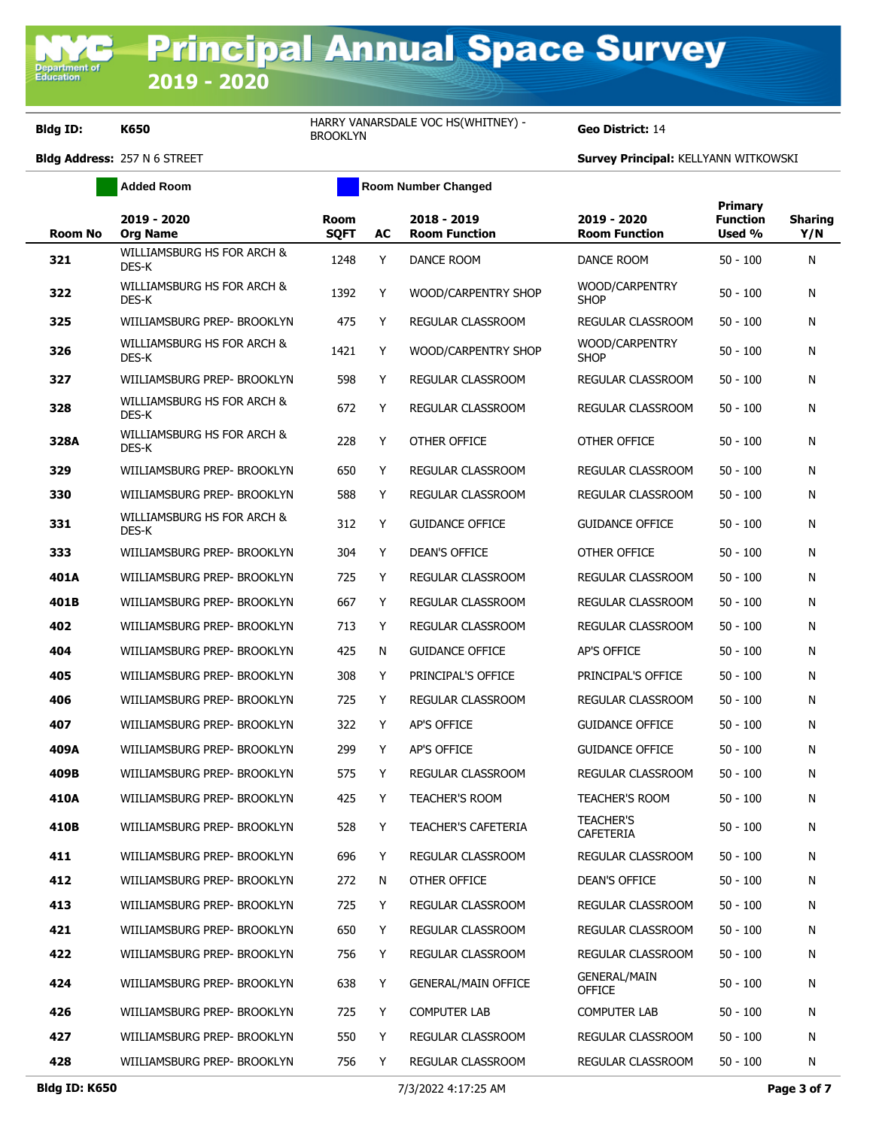Department of<br>Education

**Bldg ID: K650 HARRY VANARSDALE VOC HS(WHITNEY)** -HARRY VANARSDALE VOC HS(WHITNEY) <sup>-</sup> Geo District: 14

|                | <b>Added Room</b>                   |                            |    | <b>Room Number Changed</b>          |                                      |                                             |                       |
|----------------|-------------------------------------|----------------------------|----|-------------------------------------|--------------------------------------|---------------------------------------------|-----------------------|
| <b>Room No</b> | 2019 - 2020<br><b>Org Name</b>      | <b>Room</b><br><b>SQFT</b> | AC | 2018 - 2019<br><b>Room Function</b> | 2019 - 2020<br><b>Room Function</b>  | <b>Primary</b><br><b>Function</b><br>Used % | <b>Sharing</b><br>Y/N |
| 321            | WILLIAMSBURG HS FOR ARCH &<br>DES-K | 1248                       | Y  | DANCE ROOM                          | DANCE ROOM                           | $50 - 100$                                  | N                     |
| 322            | WILLIAMSBURG HS FOR ARCH &<br>DES-K | 1392                       | Y  | WOOD/CARPENTRY SHOP                 | WOOD/CARPENTRY<br><b>SHOP</b>        | $50 - 100$                                  | N                     |
| 325            | WIILIAMSBURG PREP- BROOKLYN         | 475                        | Y  | REGULAR CLASSROOM                   | REGULAR CLASSROOM                    | $50 - 100$                                  | N                     |
| 326            | WILLIAMSBURG HS FOR ARCH &<br>DES-K | 1421                       | Y  | WOOD/CARPENTRY SHOP                 | WOOD/CARPENTRY<br><b>SHOP</b>        | $50 - 100$                                  | N                     |
| 327            | WIILIAMSBURG PREP- BROOKLYN         | 598                        | Y  | REGULAR CLASSROOM                   | REGULAR CLASSROOM                    | $50 - 100$                                  | N                     |
| 328            | WILLIAMSBURG HS FOR ARCH &<br>DES-K | 672                        | Y  | REGULAR CLASSROOM                   | REGULAR CLASSROOM                    | $50 - 100$                                  | N                     |
| 328A           | WILLIAMSBURG HS FOR ARCH &<br>DES-K | 228                        | Y  | OTHER OFFICE                        | OTHER OFFICE                         | $50 - 100$                                  | N                     |
| 329            | WIILIAMSBURG PREP- BROOKLYN         | 650                        | Y  | REGULAR CLASSROOM                   | REGULAR CLASSROOM                    | $50 - 100$                                  | N                     |
| 330            | WIILIAMSBURG PREP- BROOKLYN         | 588                        | Y  | <b>REGULAR CLASSROOM</b>            | REGULAR CLASSROOM                    | $50 - 100$                                  | N                     |
| 331            | WILLIAMSBURG HS FOR ARCH &<br>DES-K | 312                        | Y  | <b>GUIDANCE OFFICE</b>              | <b>GUIDANCE OFFICE</b>               | $50 - 100$                                  | N                     |
| 333            | WIILIAMSBURG PREP- BROOKLYN         | 304                        | Y  | <b>DEAN'S OFFICE</b>                | OTHER OFFICE                         | $50 - 100$                                  | N                     |
| 401A           | WIILIAMSBURG PREP- BROOKLYN         | 725                        | Y  | REGULAR CLASSROOM                   | <b>REGULAR CLASSROOM</b>             | $50 - 100$                                  | N                     |
| 401B           | WIILIAMSBURG PREP- BROOKLYN         | 667                        | Y  | REGULAR CLASSROOM                   | REGULAR CLASSROOM                    | $50 - 100$                                  | N                     |
| 402            | WIILIAMSBURG PREP- BROOKLYN         | 713                        | Y  | REGULAR CLASSROOM                   | REGULAR CLASSROOM                    | $50 - 100$                                  | N                     |
| 404            | WIILIAMSBURG PREP- BROOKLYN         | 425                        | N  | <b>GUIDANCE OFFICE</b>              | AP'S OFFICE                          | $50 - 100$                                  | N                     |
| 405            | WIILIAMSBURG PREP- BROOKLYN         | 308                        | Y  | PRINCIPAL'S OFFICE                  | PRINCIPAL'S OFFICE                   | $50 - 100$                                  | N                     |
| 406            | WIILIAMSBURG PREP- BROOKLYN         | 725                        | Y  | REGULAR CLASSROOM                   | REGULAR CLASSROOM                    | $50 - 100$                                  | N                     |
| 407            | WIILIAMSBURG PREP- BROOKLYN         | 322                        | Y  | <b>AP'S OFFICE</b>                  | <b>GUIDANCE OFFICE</b>               | $50 - 100$                                  | N                     |
| 409A           | WIILIAMSBURG PREP- BROOKLYN         | 299                        | Y  | AP'S OFFICE                         | <b>GUIDANCE OFFICE</b>               | $50 - 100$                                  | N                     |
| 409B           | WIILIAMSBURG PREP- BROOKLYN         | 575                        | Y  | REGULAR CLASSROOM                   | REGULAR CLASSROOM                    | $50 - 100$                                  | N                     |
| 410A           | WIILIAMSBURG PREP- BROOKLYN         | 425                        | Y  | <b>TEACHER'S ROOM</b>               | <b>TEACHER'S ROOM</b>                | $50 - 100$                                  | N                     |
| 410B           | WIILIAMSBURG PREP- BROOKLYN         | 528                        | Y  | <b>TEACHER'S CAFETERIA</b>          | TEACHER'S<br><b>CAFETERIA</b>        | $50 - 100$                                  | N                     |
| 411            | WIILIAMSBURG PREP- BROOKLYN         | 696                        | Y  | REGULAR CLASSROOM                   | REGULAR CLASSROOM                    | $50 - 100$                                  | N                     |
| 412            | WIILIAMSBURG PREP- BROOKLYN         | 272                        | N  | OTHER OFFICE                        | <b>DEAN'S OFFICE</b>                 | $50 - 100$                                  | N                     |
| 413            | WIILIAMSBURG PREP- BROOKLYN         | 725                        | Y  | REGULAR CLASSROOM                   | REGULAR CLASSROOM                    | $50 - 100$                                  | N                     |
| 421            | WIILIAMSBURG PREP- BROOKLYN         | 650                        | Y  | REGULAR CLASSROOM                   | REGULAR CLASSROOM                    | $50 - 100$                                  | N                     |
| 422            | WIILIAMSBURG PREP- BROOKLYN         | 756                        | Y  | REGULAR CLASSROOM                   | REGULAR CLASSROOM                    | 50 - 100                                    | N                     |
| 424            | WIILIAMSBURG PREP- BROOKLYN         | 638                        | Y  | <b>GENERAL/MAIN OFFICE</b>          | <b>GENERAL/MAIN</b><br><b>OFFICE</b> | $50 - 100$                                  | N                     |
| 426            | WIILIAMSBURG PREP- BROOKLYN         | 725                        | Y  | <b>COMPUTER LAB</b>                 | <b>COMPUTER LAB</b>                  | $50 - 100$                                  | N                     |
| 427            | WIILIAMSBURG PREP- BROOKLYN         | 550                        | Y  | REGULAR CLASSROOM                   | REGULAR CLASSROOM                    | $50 - 100$                                  | N                     |
| 428            | WIILIAMSBURG PREP- BROOKLYN         | 756                        | Y  | REGULAR CLASSROOM                   | REGULAR CLASSROOM                    | $50 - 100$                                  | N                     |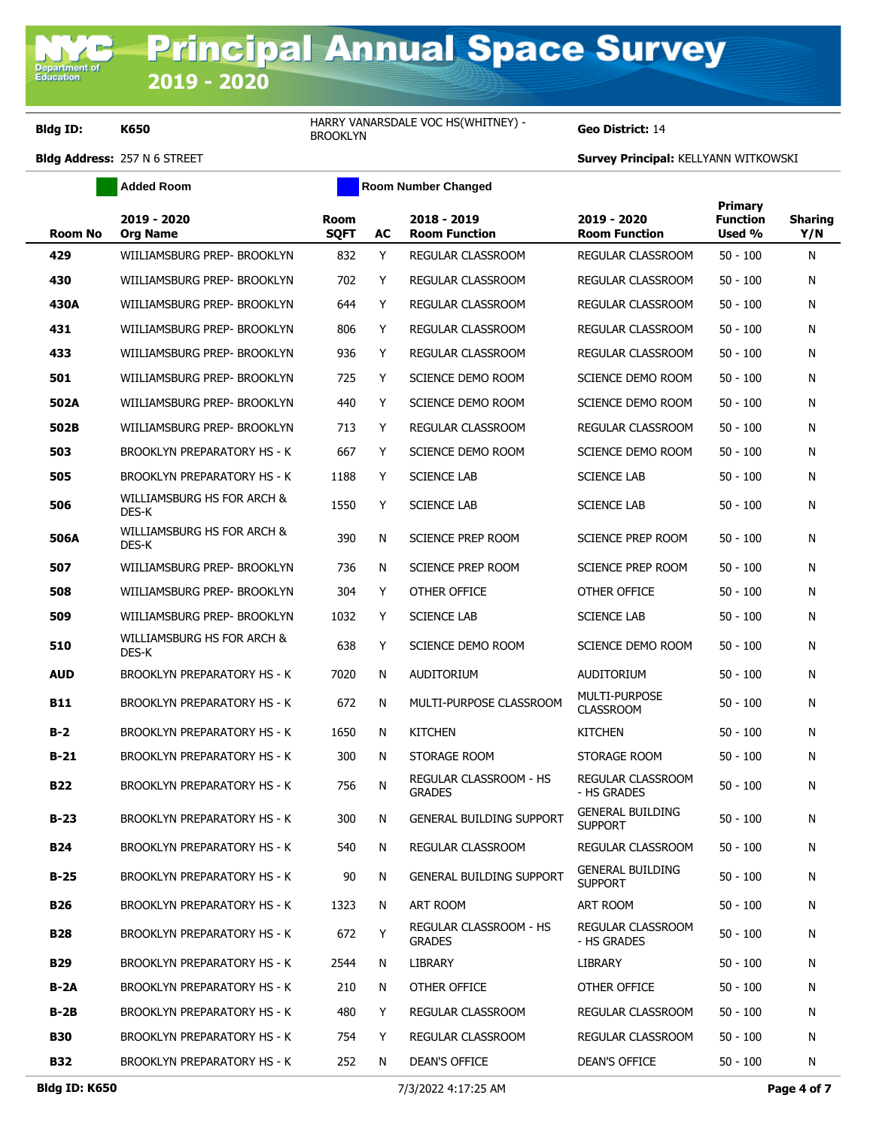Department of<br>Education

**Bldg ID: K650 HARRY VANARSDALE VOC HS(WHITNEY)** -HARRY VANARSDALE VOC HS(WHITNEY) <sup>-</sup> Geo District: 14

|                | <b>Added Room</b>                   |                            |    | <b>Room Number Changed</b>              |                                           |                                      |                       |
|----------------|-------------------------------------|----------------------------|----|-----------------------------------------|-------------------------------------------|--------------------------------------|-----------------------|
| <b>Room No</b> | 2019 - 2020<br><b>Org Name</b>      | <b>Room</b><br><b>SQFT</b> | AC | 2018 - 2019<br><b>Room Function</b>     | 2019 - 2020<br><b>Room Function</b>       | Primary<br><b>Function</b><br>Used % | <b>Sharing</b><br>Y/N |
| 429            | WIILIAMSBURG PREP- BROOKLYN         | 832                        | Y  | REGULAR CLASSROOM                       | REGULAR CLASSROOM                         | $50 - 100$                           | N                     |
| 430            | WIILIAMSBURG PREP- BROOKLYN         | 702                        | Y  | REGULAR CLASSROOM                       | <b>REGULAR CLASSROOM</b>                  | $50 - 100$                           | N                     |
| 430A           | WIILIAMSBURG PREP- BROOKLYN         | 644                        | Y  | REGULAR CLASSROOM                       | REGULAR CLASSROOM                         | $50 - 100$                           | N                     |
| 431            | WIILIAMSBURG PREP- BROOKLYN         | 806                        | Y  | REGULAR CLASSROOM                       | REGULAR CLASSROOM                         | $50 - 100$                           | N                     |
| 433            | WIILIAMSBURG PREP- BROOKLYN         | 936                        | Y  | REGULAR CLASSROOM                       | REGULAR CLASSROOM                         | $50 - 100$                           | N                     |
| 501            | WIILIAMSBURG PREP- BROOKLYN         | 725                        | Y  | SCIENCE DEMO ROOM                       | SCIENCE DEMO ROOM                         | $50 - 100$                           | N                     |
| 502A           | WIILIAMSBURG PREP- BROOKLYN         | 440                        | Y  | SCIENCE DEMO ROOM                       | SCIENCE DEMO ROOM                         | $50 - 100$                           | N                     |
| 502B           | WIILIAMSBURG PREP- BROOKLYN         | 713                        | Y  | REGULAR CLASSROOM                       | REGULAR CLASSROOM                         | $50 - 100$                           | N                     |
| 503            | <b>BROOKLYN PREPARATORY HS - K</b>  | 667                        | Y  | SCIENCE DEMO ROOM                       | SCIENCE DEMO ROOM                         | $50 - 100$                           | N                     |
| 505            | <b>BROOKLYN PREPARATORY HS - K</b>  | 1188                       | Y  | <b>SCIENCE LAB</b>                      | <b>SCIENCE LAB</b>                        | $50 - 100$                           | N                     |
| 506            | WILLIAMSBURG HS FOR ARCH &<br>DES-K | 1550                       | Y  | <b>SCIENCE LAB</b>                      | <b>SCIENCE LAB</b>                        | $50 - 100$                           | N                     |
| 506A           | WILLIAMSBURG HS FOR ARCH &<br>DES-K | 390                        | N  | <b>SCIENCE PREP ROOM</b>                | <b>SCIENCE PREP ROOM</b>                  | $50 - 100$                           | N                     |
| 507            | WIILIAMSBURG PREP- BROOKLYN         | 736                        | N  | SCIENCE PREP ROOM                       | SCIENCE PREP ROOM                         | $50 - 100$                           | N                     |
| 508            | WIILIAMSBURG PREP- BROOKLYN         | 304                        | Y  | OTHER OFFICE                            | OTHER OFFICE                              | $50 - 100$                           | N                     |
| 509            | WIILIAMSBURG PREP- BROOKLYN         | 1032                       | Y  | <b>SCIENCE LAB</b>                      | <b>SCIENCE LAB</b>                        | $50 - 100$                           | N                     |
| 510            | WILLIAMSBURG HS FOR ARCH &<br>DES-K | 638                        | Y  | SCIENCE DEMO ROOM                       | SCIENCE DEMO ROOM                         | $50 - 100$                           | N                     |
| <b>AUD</b>     | <b>BROOKLYN PREPARATORY HS - K</b>  | 7020                       | N  | <b>AUDITORIUM</b>                       | AUDITORIUM                                | $50 - 100$                           | N                     |
| <b>B11</b>     | <b>BROOKLYN PREPARATORY HS - K</b>  | 672                        | N  | MULTI-PURPOSE CLASSROOM                 | MULTI-PURPOSE<br><b>CLASSROOM</b>         | $50 - 100$                           | N                     |
| $B-2$          | BROOKLYN PREPARATORY HS - K         | 1650                       | N  | <b>KITCHEN</b>                          | <b>KITCHEN</b>                            | $50 - 100$                           | N                     |
| $B-21$         | BROOKLYN PREPARATORY HS - K         | 300                        | N  | STORAGE ROOM                            | STORAGE ROOM                              | $50 - 100$                           | N                     |
| <b>B22</b>     | <b>BROOKLYN PREPARATORY HS - K</b>  | 756                        | N  | REGULAR CLASSROOM - HS<br><b>GRADES</b> | REGULAR CLASSROOM<br>- HS GRADES          | $50 - 100$                           | N                     |
| $B-23$         | BROOKLYN PREPARATORY HS - K         | 300                        | N  | <b>GENERAL BUILDING SUPPORT</b>         | <b>GENERAL BUILDING</b><br><b>SUPPORT</b> | $50 - 100$                           | N                     |
| <b>B24</b>     | BROOKLYN PREPARATORY HS - K         | 540                        | N  | REGULAR CLASSROOM                       | REGULAR CLASSROOM                         | $50 - 100$                           | N                     |
| $B-25$         | BROOKLYN PREPARATORY HS - K         | 90                         | N  | <b>GENERAL BUILDING SUPPORT</b>         | <b>GENERAL BUILDING</b><br><b>SUPPORT</b> | $50 - 100$                           | N                     |
| B26            | BROOKLYN PREPARATORY HS - K         | 1323                       | N  | ART ROOM                                | ART ROOM                                  | $50 - 100$                           | N                     |
| <b>B28</b>     | <b>BROOKLYN PREPARATORY HS - K</b>  | 672                        | Y  | REGULAR CLASSROOM - HS<br><b>GRADES</b> | REGULAR CLASSROOM<br>- HS GRADES          | $50 - 100$                           | N                     |
| <b>B29</b>     | <b>BROOKLYN PREPARATORY HS - K</b>  | 2544                       | N  | LIBRARY                                 | LIBRARY                                   | $50 - 100$                           | N                     |
| B-2A           | BROOKLYN PREPARATORY HS - K         | 210                        | N  | OTHER OFFICE                            | OTHER OFFICE                              | $50 - 100$                           | N                     |
| B-2B           | BROOKLYN PREPARATORY HS - K         | 480                        | Y  | REGULAR CLASSROOM                       | REGULAR CLASSROOM                         | $50 - 100$                           | N                     |
| <b>B30</b>     | BROOKLYN PREPARATORY HS - K         | 754                        | Y  | REGULAR CLASSROOM                       | REGULAR CLASSROOM                         | $50 - 100$                           | N                     |
| <b>B32</b>     | BROOKLYN PREPARATORY HS - K         | 252                        | N  | DEAN'S OFFICE                           | DEAN'S OFFICE                             | $50 - 100$                           | N                     |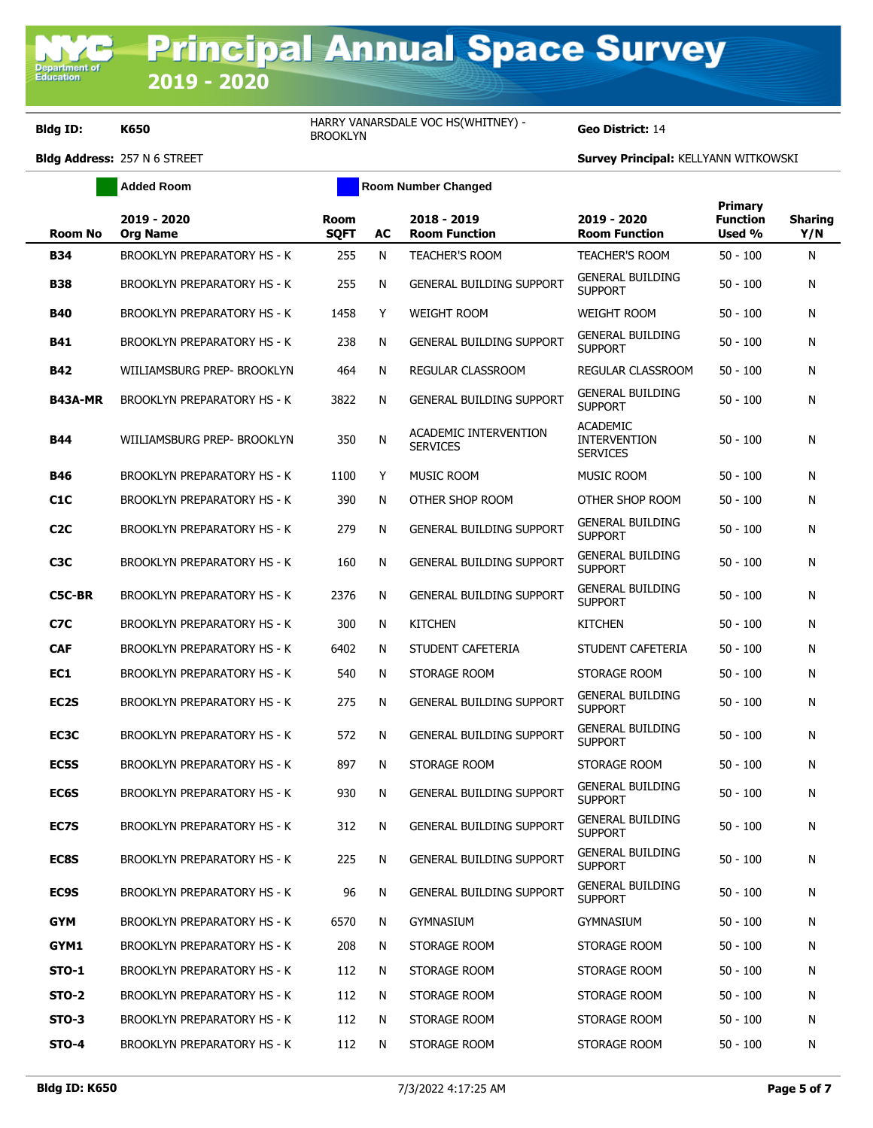Department<br>Education

**Bldg ID: K650 HARRY VANARSDALE VOC HS(WHITNEY)** -HARRY VANARSDALE VOC HS(WHITNEY) <sup>-</sup> Geo District: 14

|                   | Added Room                         |                            |    | Room Number Changed                      |                                                           |                                      |                       |
|-------------------|------------------------------------|----------------------------|----|------------------------------------------|-----------------------------------------------------------|--------------------------------------|-----------------------|
| <b>Room No</b>    | 2019 - 2020<br><b>Org Name</b>     | <b>Room</b><br><b>SQFT</b> | AC | 2018 - 2019<br><b>Room Function</b>      | 2019 - 2020<br><b>Room Function</b>                       | <b>Primary</b><br>Function<br>Used % | <b>Sharing</b><br>Y/N |
| <b>B34</b>        | BROOKLYN PREPARATORY HS - K        | 255                        | N  | <b>TEACHER'S ROOM</b>                    | <b>TEACHER'S ROOM</b>                                     | $50 - 100$                           | N                     |
| <b>B38</b>        | BROOKLYN PREPARATORY HS - K        | 255                        | N  | <b>GENERAL BUILDING SUPPORT</b>          | <b>GENERAL BUILDING</b><br><b>SUPPORT</b>                 | $50 - 100$                           | N                     |
| <b>B40</b>        | BROOKLYN PREPARATORY HS - K        | 1458                       | Y  | <b>WEIGHT ROOM</b>                       | <b>WEIGHT ROOM</b>                                        | $50 - 100$                           | N                     |
| <b>B41</b>        | <b>BROOKLYN PREPARATORY HS - K</b> | 238                        | N  | <b>GENERAL BUILDING SUPPORT</b>          | <b>GENERAL BUILDING</b><br><b>SUPPORT</b>                 | $50 - 100$                           | N                     |
| <b>B42</b>        | WIILIAMSBURG PREP- BROOKLYN        | 464                        | N  | <b>REGULAR CLASSROOM</b>                 | REGULAR CLASSROOM                                         | $50 - 100$                           | N                     |
| <b>B43A-MR</b>    | <b>BROOKLYN PREPARATORY HS - K</b> | 3822                       | N  | <b>GENERAL BUILDING SUPPORT</b>          | <b>GENERAL BUILDING</b><br><b>SUPPORT</b>                 | $50 - 100$                           | N                     |
| <b>B44</b>        | WIILIAMSBURG PREP- BROOKLYN        | 350                        | N  | ACADEMIC INTERVENTION<br><b>SERVICES</b> | <b>ACADEMIC</b><br><b>INTERVENTION</b><br><b>SERVICES</b> | $50 - 100$                           | N                     |
| <b>B46</b>        | <b>BROOKLYN PREPARATORY HS - K</b> | 1100                       | Y  | <b>MUSIC ROOM</b>                        | <b>MUSIC ROOM</b>                                         | $50 - 100$                           | N                     |
| C <sub>1</sub> C  | <b>BROOKLYN PREPARATORY HS - K</b> | 390                        | N  | OTHER SHOP ROOM                          | OTHER SHOP ROOM                                           | $50 - 100$                           | N                     |
| C <sub>2</sub> C  | <b>BROOKLYN PREPARATORY HS - K</b> | 279                        | N  | <b>GENERAL BUILDING SUPPORT</b>          | <b>GENERAL BUILDING</b><br><b>SUPPORT</b>                 | $50 - 100$                           | N                     |
| C <sub>3</sub> C  | <b>BROOKLYN PREPARATORY HS - K</b> | 160                        | N  | <b>GENERAL BUILDING SUPPORT</b>          | <b>GENERAL BUILDING</b><br><b>SUPPORT</b>                 | $50 - 100$                           | N                     |
| <b>C5C-BR</b>     | <b>BROOKLYN PREPARATORY HS - K</b> | 2376                       | N  | <b>GENERAL BUILDING SUPPORT</b>          | <b>GENERAL BUILDING</b><br><b>SUPPORT</b>                 | $50 - 100$                           | N                     |
| C7C               | <b>BROOKLYN PREPARATORY HS - K</b> | 300                        | N  | <b>KITCHEN</b>                           | <b>KITCHEN</b>                                            | $50 - 100$                           | N                     |
| <b>CAF</b>        | BROOKLYN PREPARATORY HS - K        | 6402                       | N  | STUDENT CAFETERIA                        | STUDENT CAFETERIA                                         | $50 - 100$                           | N                     |
| EC1               | <b>BROOKLYN PREPARATORY HS - K</b> | 540                        | N  | STORAGE ROOM                             | STORAGE ROOM                                              | $50 - 100$                           | N                     |
| EC <sub>2</sub> S | <b>BROOKLYN PREPARATORY HS - K</b> | 275                        | N  | <b>GENERAL BUILDING SUPPORT</b>          | <b>GENERAL BUILDING</b><br><b>SUPPORT</b>                 | $50 - 100$                           | N                     |
| EC3C              | <b>BROOKLYN PREPARATORY HS - K</b> | 572                        | N  | <b>GENERAL BUILDING SUPPORT</b>          | <b>GENERAL BUILDING</b><br><b>SUPPORT</b>                 | $50 - 100$                           | N                     |
| EC5S              | <b>BROOKLYN PREPARATORY HS - K</b> | 897                        | N  | STORAGE ROOM                             | STORAGE ROOM                                              | $50 - 100$                           | N                     |
| EC6S              | <b>BROOKLYN PREPARATORY HS - K</b> | 930                        | N  | <b>GENERAL BUILDING SUPPORT</b>          | <b>GENERAL BUILDING</b><br><b>SUPPORT</b>                 | $50 - 100$                           | N                     |
| EC7S              | <b>BROOKLYN PREPARATORY HS - K</b> | 312                        | N  | <b>GENERAL BUILDING SUPPORT</b>          | <b>GENERAL BUILDING</b><br><b>SUPPORT</b>                 | 50 - 100                             | Ν                     |
| <b>EC8S</b>       | <b>BROOKLYN PREPARATORY HS - K</b> | 225                        | N  | <b>GENERAL BUILDING SUPPORT</b>          | <b>GENERAL BUILDING</b><br><b>SUPPORT</b>                 | $50 - 100$                           | N                     |
| EC9S              | <b>BROOKLYN PREPARATORY HS - K</b> | 96                         | N  | <b>GENERAL BUILDING SUPPORT</b>          | <b>GENERAL BUILDING</b><br><b>SUPPORT</b>                 | $50 - 100$                           | N                     |
| <b>GYM</b>        | BROOKLYN PREPARATORY HS - K        | 6570                       | N  | <b>GYMNASIUM</b>                         | <b>GYMNASIUM</b>                                          | $50 - 100$                           | N                     |
| GYM1              | BROOKLYN PREPARATORY HS - K        | 208                        | N  | STORAGE ROOM                             | STORAGE ROOM                                              | $50 - 100$                           | N                     |
| <b>STO-1</b>      | BROOKLYN PREPARATORY HS - K        | 112                        | N  | STORAGE ROOM                             | STORAGE ROOM                                              | $50 - 100$                           | N                     |
| <b>STO-2</b>      | <b>BROOKLYN PREPARATORY HS - K</b> | 112                        | N  | STORAGE ROOM                             | STORAGE ROOM                                              | $50 - 100$                           | N                     |
| <b>STO-3</b>      | BROOKLYN PREPARATORY HS - K        | 112                        | N  | STORAGE ROOM                             | STORAGE ROOM                                              | $50 - 100$                           | N                     |
| STO-4             | BROOKLYN PREPARATORY HS - K        | 112                        | N  | STORAGE ROOM                             | STORAGE ROOM                                              | $50 - 100$                           | N                     |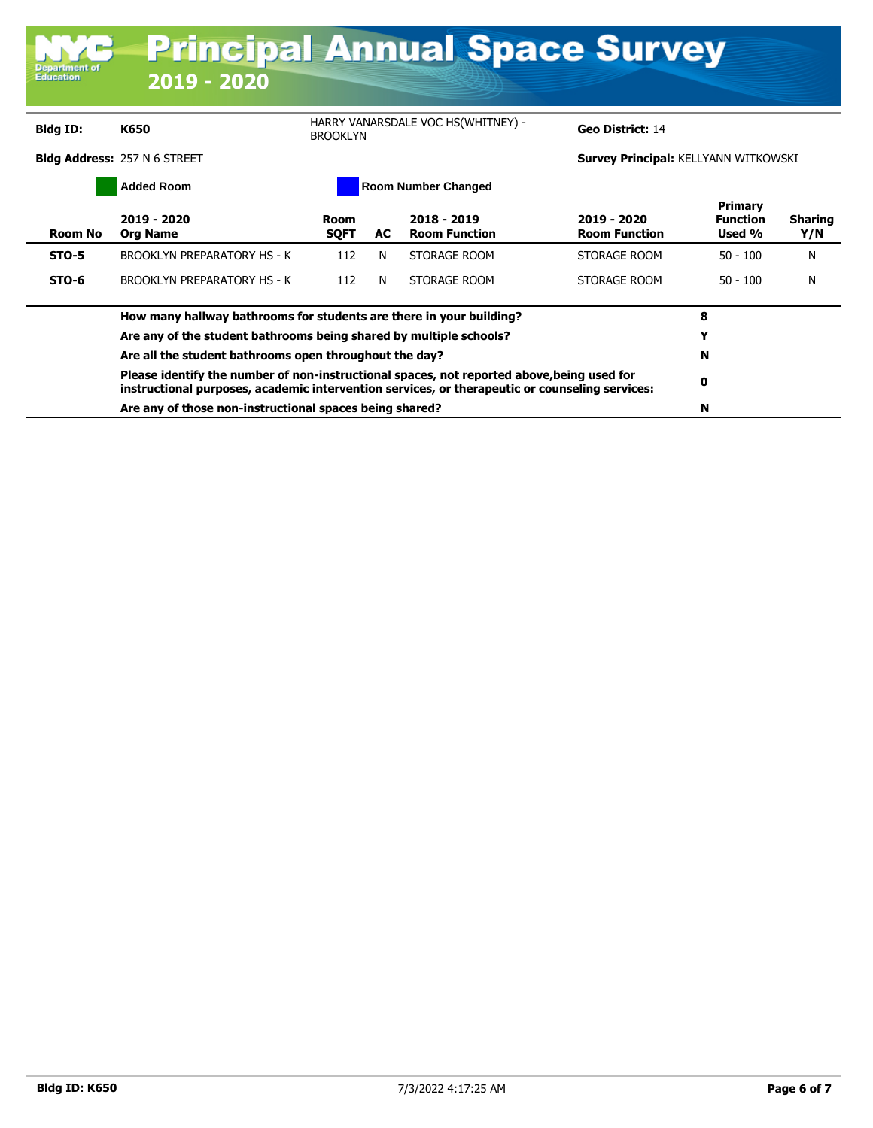| <b>Department of</b><br><b>Education</b> | <u>Frincipal Annual Space Survey</u><br>2019 - 2020                                                                                                                                          |                     |     |                                     |                                             |                                             |                       |
|------------------------------------------|----------------------------------------------------------------------------------------------------------------------------------------------------------------------------------------------|---------------------|-----|-------------------------------------|---------------------------------------------|---------------------------------------------|-----------------------|
| Bldg ID:                                 | K650                                                                                                                                                                                         | <b>BROOKLYN</b>     |     | HARRY VANARSDALE VOC HS(WHITNEY) -  | Geo District: 14                            |                                             |                       |
|                                          | <b>Bldg Address: 257 N 6 STREET</b>                                                                                                                                                          |                     |     |                                     | <b>Survey Principal: KELLYANN WITKOWSKI</b> |                                             |                       |
|                                          | <b>Added Room</b>                                                                                                                                                                            |                     |     | <b>Room Number Changed</b>          |                                             |                                             |                       |
| <b>Room No</b>                           | $2019 - 2020$<br><b>Org Name</b>                                                                                                                                                             | Room<br><b>SQFT</b> | AC. | 2018 - 2019<br><b>Room Function</b> | 2019 - 2020<br><b>Room Function</b>         | <b>Primary</b><br><b>Function</b><br>Used % | <b>Sharing</b><br>Y/N |
| <b>STO-5</b>                             | <b>BROOKLYN PREPARATORY HS - K</b>                                                                                                                                                           | 112                 | N   | STORAGE ROOM                        | STORAGE ROOM                                | $50 - 100$                                  | N                     |
| STO-6                                    | <b>BROOKLYN PREPARATORY HS - K</b>                                                                                                                                                           | 112                 | N   | STORAGE ROOM                        | STORAGE ROOM                                | $50 - 100$                                  | N                     |
|                                          | How many hallway bathrooms for students are there in your building?                                                                                                                          |                     |     |                                     |                                             | 8                                           |                       |
|                                          | Are any of the student bathrooms being shared by multiple schools?                                                                                                                           |                     | Y   |                                     |                                             |                                             |                       |
|                                          | Are all the student bathrooms open throughout the day?                                                                                                                                       |                     |     |                                     |                                             |                                             |                       |
|                                          | Please identify the number of non-instructional spaces, not reported above, being used for<br>instructional purposes, academic intervention services, or therapeutic or counseling services: |                     | 0   |                                     |                                             |                                             |                       |
|                                          | Are any of those non-instructional spaces being shared?                                                                                                                                      |                     |     |                                     |                                             | N                                           |                       |

**The Common Common Common Common Common Common Common Common Common Common Common Common Common Common Common C** 

Ä

**MAR Duingingle**